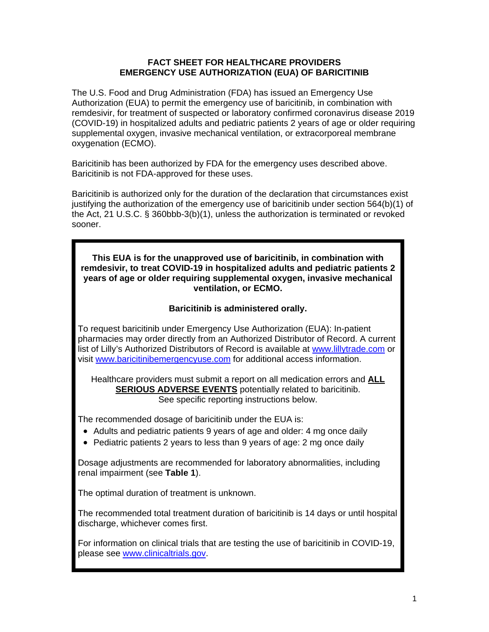### **FACT SHEET FOR HEALTHCARE PROVIDERS EMERGENCY USE AUTHORIZATION (EUA) OF BARICITINIB**

The U.S. Food and Drug Administration (FDA) has issued an Emergency Use Authorization (EUA) to permit the emergency use of baricitinib, in combination with remdesivir, for treatment of suspected or laboratory confirmed coronavirus disease 2019 (COVID-19) in hospitalized adults and pediatric patients 2 years of age or older requiring supplemental oxygen, invasive mechanical ventilation, or extracorporeal membrane oxygenation (ECMO).

Baricitinib has been authorized by FDA for the emergency uses described above. Baricitinib is not FDA-approved for these uses.

Baricitinib is authorized only for the duration of the declaration that circumstances exist justifying the authorization of the emergency use of baricitinib under section 564(b)(1) of the Act, 21 U.S.C. § 360bbb-3(b)(1), unless the authorization is terminated or revoked sooner.

**This EUA is for the unapproved use of baricitinib, in combination with remdesivir, to treat COVID-19 in hospitalized adults and pediatric patients 2 years of age or older requiring supplemental oxygen, invasive mechanical ventilation, or ECMO.** 

# **Baricitinib is administered orally.**

To request baricitinib under Emergency Use Authorization (EUA): In-patient pharmacies may order directly from an Authorized Distributor of Record. A current list of Lilly's Authorized Distributors of Record is available at <www.lillytrade.com> or visit <www.baricitinibemergencyuse.com>for additional access information.

Healthcare providers must submit a report on all medication errors and **ALL SERIOUS ADVERSE EVENTS** potentially related to baricitinib. See specific reporting instructions below.

The recommended dosage of baricitinib under the EUA is:

- Adults and pediatric patients 9 years of age and older: 4 mg once daily
- Pediatric patients 2 years to less than 9 years of age: 2 mg once daily

Dosage adjustments are recommended for laboratory abnormalities, including renal impairment (see **Table 1**).

The optimal duration of treatment is unknown.

The recommended total treatment duration of baricitinib is 14 days or until hospital discharge, whichever comes first.

For information on clinical trials that are testing the use of baricitinib in COVID-19, please see [www.clinicaltrials.gov.](www.clinicaltrials.gov)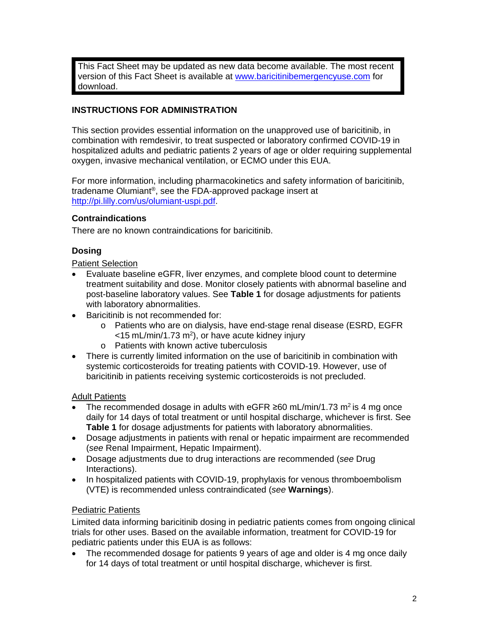This Fact Sheet may be updated as new data become available. The most recent version of this Fact Sheet is available at www.baricitinibemergencyuse.com for download.

# **INSTRUCTIONS FOR ADMINISTRATION**

This section provides essential information on the unapproved use of baricitinib, in combination with remdesivir, to treat suspected or laboratory confirmed COVID-19 in hospitalized adults and pediatric patients 2 years of age or older requiring supplemental oxygen, invasive mechanical ventilation, or ECMO under this EUA.

For more information, including pharmacokinetics and safety information of baricitinib, tradename Olumiant®, see the FDA-approved package insert at [http://pi.lilly.com/us/olumiant-uspi.pdf.](http://pi.lilly.com/us/olumiant-uspi.pdf)

## **Contraindications**

There are no known contraindications for baricitinib.

#### **Dosing**

#### Patient Selection

- Evaluate baseline eGFR, liver enzymes, and complete blood count to determine treatment suitability and dose. Monitor closely patients with abnormal baseline and post-baseline laboratory values. See **Table 1** for dosage adjustments for patients with laboratory abnormalities.
- Baricitinib is not recommended for:
	- o Patients who are on dialysis, have end-stage renal disease (ESRD, EGFR  $<$ 15 [mL/min/1.73](https://mL/min/1.73) m<sup>2</sup>), or have acute kidney injury
	- o Patients with known active tuberculosis
- There is currently limited information on the use of baricitinib in combination with systemic corticosteroids for treating patients with COVID-19. However, use of baricitinib in patients receiving systemic corticosteroids is not precluded.

#### Adult Patients

- The recommended dosage in adults with eGFR  $\geq 60$  [mL/min/1.73](https://mL/min/1.73) m<sup>2</sup> is 4 mg once daily for 14 days of total treatment or until hospital discharge, whichever is first. See **Table 1** for dosage adjustments for patients with laboratory abnormalities.
- Dosage adjustments in patients with renal or hepatic impairment are recommended (*see* Renal Impairment, Hepatic Impairment).
- Dosage adjustments due to drug interactions are recommended (*see* Drug Interactions).
- In hospitalized patients with COVID-19, prophylaxis for venous thromboembolism (VTE) is recommended unless contraindicated (*see* **Warnings**).

## Pediatric Patients

Limited data informing baricitinib dosing in pediatric patients comes from ongoing clinical trials for other uses. Based on the available information, treatment for COVID-19 for pediatric patients under this EUA is as follows:

• The recommended dosage for patients 9 years of age and older is 4 mg once daily for 14 days of total treatment or until hospital discharge, whichever is first.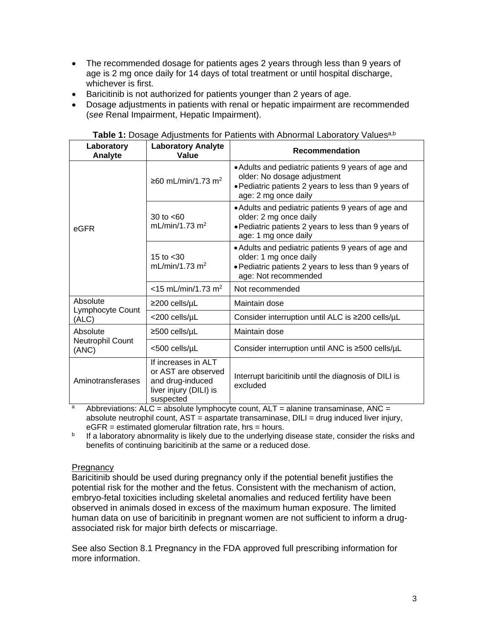- The recommended dosage for patients ages 2 years through less than 9 years of age is 2 mg once daily for 14 days of total treatment or until hospital discharge, whichever is first.
- Baricitinib is not authorized for patients younger than 2 years of age.
- Dosage adjustments in patients with renal or hepatic impairment are recommended (*see* Renal Impairment, Hepatic Impairment).

| Laboratory<br>Analyte                 | <b>Laboratory Analyte</b><br>Value                                                                    | <b>Recommendation</b>                                                                                                                                             |  |
|---------------------------------------|-------------------------------------------------------------------------------------------------------|-------------------------------------------------------------------------------------------------------------------------------------------------------------------|--|
| eGFR                                  | ≥60 mL/min/1.73 m <sup>2</sup>                                                                        | • Adults and pediatric patients 9 years of age and<br>older: No dosage adjustment<br>• Pediatric patients 2 years to less than 9 years of<br>age: 2 mg once daily |  |
|                                       | 30 to $<60$<br>mL/min/1.73 $m2$                                                                       | • Adults and pediatric patients 9 years of age and<br>older: 2 mg once daily<br>. Pediatric patients 2 years to less than 9 years of<br>age: 1 mg once daily      |  |
|                                       | 15 to $< 30$<br>mL/min/1.73 $m2$                                                                      | • Adults and pediatric patients 9 years of age and<br>older: 1 mg once daily<br>• Pediatric patients 2 years to less than 9 years of<br>age: Not recommended      |  |
|                                       | $<$ 15 mL/min/1.73 m <sup>2</sup>                                                                     | Not recommended                                                                                                                                                   |  |
| Absolute<br>Lymphocyte Count<br>(ALC) | $\geq$ 200 cells/µL                                                                                   | Maintain dose                                                                                                                                                     |  |
|                                       | <200 cells/µL                                                                                         | Consider interruption until ALC is ≥200 cells/µL                                                                                                                  |  |
| Absolute<br>Neutrophil Count<br>(ANC) | ≥500 cells/µL                                                                                         | Maintain dose                                                                                                                                                     |  |
|                                       | <500 cells/µL                                                                                         | Consider interruption until ANC is ≥500 cells/µL                                                                                                                  |  |
| Aminotransferases                     | If increases in ALT<br>or AST are observed<br>and drug-induced<br>liver injury (DILI) is<br>suspected | Interrupt baricitinib until the diagnosis of DILI is<br>excluded                                                                                                  |  |

**Table 1:** Dosage Adjustments for Patients with Abnormal Laboratory Values<sup>a,b</sup>

<sup>a</sup> Abbreviations: ALC = absolute lymphocyte count,  $ALT$  = alanine transaminase, ANC = absolute neutrophil count, AST = aspartate transaminase, DILI = drug induced liver injury,  $eGFR =$  estimated glomerular filtration rate, hrs = hours.

b If a laboratory abnormality is likely due to the underlying disease state, consider the risks and benefits of continuing baricitinib at the same or a reduced dose.

## **Pregnancy**

Baricitinib should be used during pregnancy only if the potential benefit justifies the potential risk for the mother and the fetus. Consistent with the mechanism of action, embryo-fetal toxicities including skeletal anomalies and reduced fertility have been observed in animals dosed in excess of the maximum human exposure. The limited human data on use of baricitinib in pregnant women are not sufficient to inform a drugassociated risk for major birth defects or miscarriage.

See also Section 8.1 Pregnancy in the FDA approved full prescribing information for more information.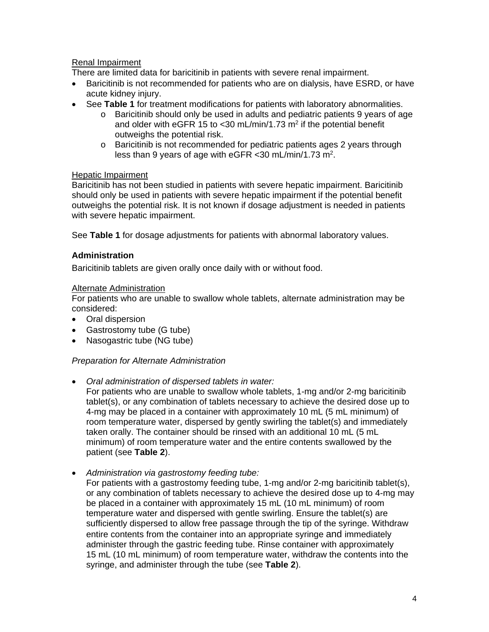# Renal Impairment

There are limited data for baricitinib in patients with severe renal impairment.

- Baricitinib is not recommended for patients who are on dialysis, have ESRD, or have acute kidney injury.
- See **Table 1** for treatment modifications for patients with laboratory abnormalities.
	- $\circ$  Baricitinib should only be used in adults and pediatric patients 9 years of age and older with eGFR 15 to  $<$  30 [mL/min/1.73](https://mL/min/1.73) m<sup>2</sup> if the potential benefit outweighs the potential risk.
		- $\circ$  Baricitinib is not recommended for pediatric patients ages 2 years through less than 9 years of age with eGFR <30 [mL/min/1.73](https://mL/min/1.73) m2.

#### Hepatic Impairment

Baricitinib has not been studied in patients with severe hepatic impairment. Baricitinib should only be used in patients with severe hepatic impairment if the potential benefit outweighs the potential risk. It is not known if dosage adjustment is needed in patients with severe hepatic impairment.

See **Table 1** for dosage adjustments for patients with abnormal laboratory values.

## **Administration**

Baricitinib tablets are given orally once daily with or without food.

#### Alternate Administration

For patients who are unable to swallow whole tablets, alternate administration may be considered:

- Oral dispersion
- Gastrostomy tube (G tube)
- Nasogastric tube (NG tube)

## *Preparation for Alternate Administration*

*Oral administration of dispersed tablets in water:* 

For patients who are unable to swallow whole tablets, 1-mg and/or 2-mg baricitinib tablet(s), or any combination of tablets necessary to achieve the desired dose up to 4-mg may be placed in a container with approximately 10 mL (5 mL minimum) of room temperature water, dispersed by gently swirling the tablet(s) and immediately taken orally. The container should be rinsed with an additional 10 mL (5 mL minimum) of room temperature water and the entire contents swallowed by the patient (see **Table 2**).

*Administration via gastrostomy feeding tube:* 

For patients with a gastrostomy feeding tube, 1-mg and/or 2-mg baricitinib tablet(s), or any combination of tablets necessary to achieve the desired dose up to 4-mg may be placed in a container with approximately 15 mL (10 mL minimum) of room temperature water and dispersed with gentle swirling. Ensure the tablet(s) are sufficiently dispersed to allow free passage through the tip of the syringe. Withdraw entire contents from the container into an appropriate syringe and immediately administer through the gastric feeding tube. Rinse container with approximately 15 mL (10 mL minimum) of room temperature water, withdraw the contents into the syringe, and administer through the tube (see **Table 2**).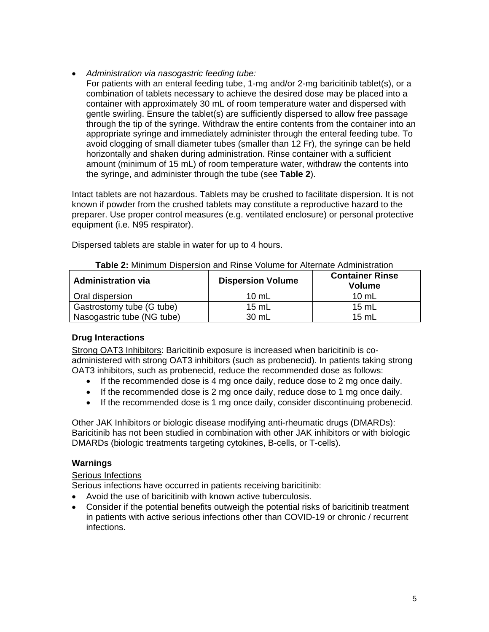- *Administration via nasogastric feeding tube:* 
	- For patients with an enteral feeding tube, 1-mg and/or 2-mg baricitinib tablet(s), or a combination of tablets necessary to achieve the desired dose may be placed into a container with approximately 30 mL of room temperature water and dispersed with gentle swirling. Ensure the tablet(s) are sufficiently dispersed to allow free passage through the tip of the syringe. Withdraw the entire contents from the container into an appropriate syringe and immediately administer through the enteral feeding tube. To avoid clogging of small diameter tubes (smaller than 12 Fr), the syringe can be held horizontally and shaken during administration. Rinse container with a sufficient amount (minimum of 15 mL) of room temperature water, withdraw the contents into the syringe, and administer through the tube (see **Table 2**).

Intact tablets are not hazardous. Tablets may be crushed to facilitate dispersion. It is not known if powder from the crushed tablets may constitute a reproductive hazard to the preparer. Use proper control measures (e.g. ventilated enclosure) or personal protective equipment (i.e. N95 respirator).

| Table 2: Minimum Dispersion and Rinse Volume for Alternate Administration |                          |                                         |  |  |  |
|---------------------------------------------------------------------------|--------------------------|-----------------------------------------|--|--|--|
| <b>Administration via</b>                                                 | <b>Dispersion Volume</b> | <b>Container Rinse</b><br><b>Volume</b> |  |  |  |
| Oral dispersion                                                           | $10 \text{ mL}$          | $10 \text{ mL}$                         |  |  |  |
| Gastrostomy tube (G tube)                                                 | 15 mL                    | 15 mL                                   |  |  |  |
| Nasogastric tube (NG tube)                                                | 30 mL                    | $15 \text{ mL}$                         |  |  |  |

Dispersed tablets are stable in water for up to 4 hours.

# **Drug Interactions**

Strong OAT3 Inhibitors: Baricitinib exposure is increased when baricitinib is coadministered with strong OAT3 inhibitors (such as probenecid). In patients taking strong OAT3 inhibitors, such as probenecid, reduce the recommended dose as follows:

- $\bullet$  If the recommended dose is 4 mg once daily, reduce dose to 2 mg once daily.
- If the recommended dose is 2 mg once daily, reduce dose to 1 mg once daily.
- If the recommended dose is 1 mg once daily, consider discontinuing probenecid.

Other JAK Inhibitors or biologic disease modifying anti-rheumatic drugs (DMARDs): Baricitinib has not been studied in combination with other JAK inhibitors or with biologic DMARDs (biologic treatments targeting cytokines, B-cells, or T-cells).

# **Warnings**

# Serious Infections

Serious infections have occurred in patients receiving baricitinib:

- Avoid the use of baricitinib with known active tuberculosis.
- Consider if the potential benefits outweigh the potential risks of baricitinib treatment in patients with active serious infections other than COVID-19 or chronic / recurrent infections.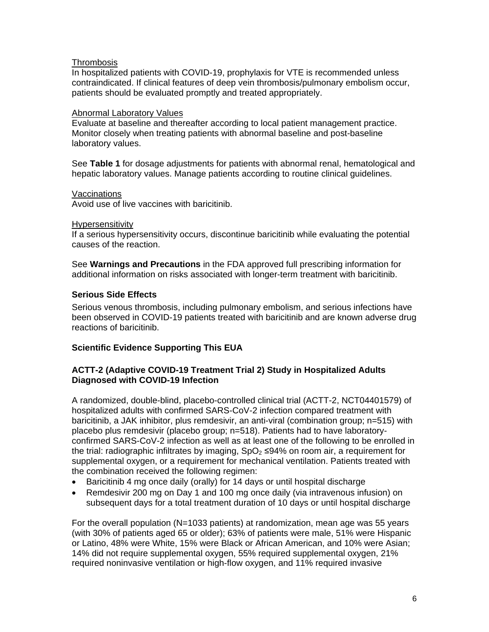## **Thrombosis**

In hospitalized patients with COVID-19, prophylaxis for VTE is recommended unless contraindicated. If clinical features of deep vein thrombosis/pulmonary embolism occur, patients should be evaluated promptly and treated appropriately.

## Abnormal Laboratory Values

Evaluate at baseline and thereafter according to local patient management practice. Monitor closely when treating patients with abnormal baseline and post-baseline laboratory values.

See **Table 1** for dosage adjustments for patients with abnormal renal, hematological and hepatic laboratory values. Manage patients according to routine clinical guidelines.

#### Vaccinations

Avoid use of live vaccines with baricitinib.

#### Hypersensitivity

If a serious hypersensitivity occurs, discontinue baricitinib while evaluating the potential causes of the reaction.

See **Warnings and Precautions** in the FDA approved full prescribing information for additional information on risks associated with longer-term treatment with baricitinib.

## **Serious Side Effects**

Serious venous thrombosis, including pulmonary embolism, and serious infections have been observed in COVID-19 patients treated with baricitinib and are known adverse drug reactions of baricitinib.

## **Scientific Evidence Supporting This EUA**

## **ACTT-2 (Adaptive COVID-19 Treatment Trial 2) Study in Hospitalized Adults Diagnosed with COVID-19 Infection**

A randomized, double-blind, placebo-controlled clinical trial (ACTT-2, NCT04401579) of hospitalized adults with confirmed SARS-CoV-2 infection compared treatment with baricitinib, a JAK inhibitor, plus remdesivir, an anti-viral (combination group; n=515) with placebo plus remdesivir (placebo group; n=518). Patients had to have laboratoryconfirmed SARS-CoV-2 infection as well as at least one of the following to be enrolled in the trial: radiographic infiltrates by imaging,  $SpO<sub>2</sub> \leq 94\%$  on room air, a requirement for supplemental oxygen, or a requirement for mechanical ventilation. Patients treated with the combination received the following regimen:

- Baricitinib 4 mg once daily (orally) for 14 days or until hospital discharge
- Remdesivir 200 mg on Day 1 and 100 mg once daily (via intravenous infusion) on subsequent days for a total treatment duration of 10 days or until hospital discharge

For the overall population (N=1033 patients) at randomization, mean age was 55 years (with 30% of patients aged 65 or older); 63% of patients were male, 51% were Hispanic or Latino, 48% were White, 15% were Black or African American, and 10% were Asian; 14% did not require supplemental oxygen, 55% required supplemental oxygen, 21% required noninvasive ventilation or high-flow oxygen, and 11% required invasive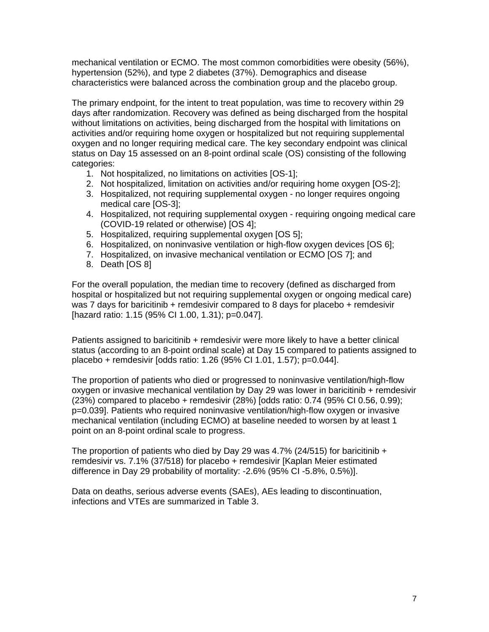mechanical ventilation or ECMO. The most common comorbidities were obesity (56%), hypertension (52%), and type 2 diabetes (37%). Demographics and disease characteristics were balanced across the combination group and the placebo group.

The primary endpoint, for the intent to treat population, was time to recovery within 29 days after randomization. Recovery was defined as being discharged from the hospital without limitations on activities, being discharged from the hospital with limitations on activities and/or requiring home oxygen or hospitalized but not requiring supplemental oxygen and no longer requiring medical care. The key secondary endpoint was clinical status on Day 15 assessed on an 8-point ordinal scale (OS) consisting of the following categories:

- 1. Not hospitalized, no limitations on activities [OS-1];
- 2. Not hospitalized, limitation on activities and/or requiring home oxygen [OS-2];
- 3. Hospitalized, not requiring supplemental oxygen no longer requires ongoing medical care [OS-3];
- 4. Hospitalized, not requiring supplemental oxygen requiring ongoing medical care (COVID-19 related or otherwise) [OS 4];
- 5. Hospitalized, requiring supplemental oxygen [OS 5];
- 6. Hospitalized, on noninvasive ventilation or high-flow oxygen devices [OS 6];
- 7. Hospitalized, on invasive mechanical ventilation or ECMO [OS 7]; and
- 8. Death [OS 8]

For the overall population, the median time to recovery (defined as discharged from hospital or hospitalized but not requiring supplemental oxygen or ongoing medical care) was 7 days for baricitinib + remdesivir compared to 8 days for placebo + remdesivir [hazard ratio: 1.15 (95% CI 1.00, 1.31); p=0.047].

Patients assigned to baricitinib + remdesivir were more likely to have a better clinical status (according to an 8-point ordinal scale) at Day 15 compared to patients assigned to placebo + remdesivir [odds ratio: 1.26 (95% CI 1.01, 1.57); p=0.044].

The proportion of patients who died or progressed to noninvasive ventilation/high-flow oxygen or invasive mechanical ventilation by Day 29 was lower in baricitinib + remdesivir (23%) compared to placebo + remdesivir (28%) [odds ratio: 0.74 (95% CI 0.56, 0.99); p=0.039]. Patients who required noninvasive ventilation/high-flow oxygen or invasive mechanical ventilation (including ECMO) at baseline needed to worsen by at least 1 point on an 8-point ordinal scale to progress.

The proportion of patients who died by Day 29 was 4.7% (24/515) for baricitinib  $+$ remdesivir vs. 7.1% (37/518) for placebo + remdesivir [Kaplan Meier estimated difference in Day 29 probability of mortality: -2.6% (95% CI -5.8%, 0.5%)].

Data on deaths, serious adverse events (SAEs), AEs leading to discontinuation, infections and VTEs are summarized in Table 3.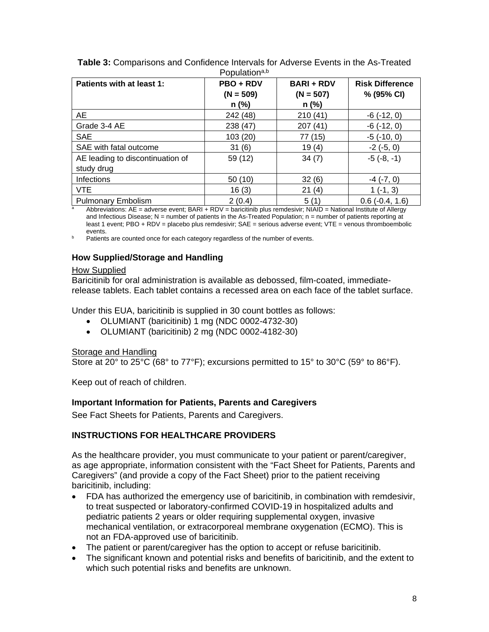| Patients with at least 1:        | PBO + RDV<br>$(N = 509)$<br>$n$ (%) | <b>BARI + RDV</b><br>$(N = 507)$<br>$n$ (%) | <b>Risk Difference</b><br>% (95% CI) |
|----------------------------------|-------------------------------------|---------------------------------------------|--------------------------------------|
| <b>AE</b>                        | 242 (48)                            | 210(41)                                     | $-6(-12, 0)$                         |
| Grade 3-4 AE                     | 238 (47)                            | 207 (41)                                    | $-6(-12, 0)$                         |
| <b>SAE</b>                       | 103 (20)                            | 77 (15)                                     | $-5$ $(-10, 0)$                      |
| SAE with fatal outcome           | 31(6)                               | 19(4)                                       | $-2(-5, 0)$                          |
| AE leading to discontinuation of | 59 (12)                             | 34(7)                                       | $-5(-8, -1)$                         |
| study drug                       |                                     |                                             |                                      |
| <b>Infections</b>                | 50(10)                              | 32(6)                                       | $-4$ $(-7, 0)$                       |
| <b>VTE</b>                       | 16(3)                               | 21(4)                                       | $1(-1, 3)$                           |
| <b>Pulmonary Embolism</b>        | 2(0.4)                              | 5(1)                                        | $0.6$ ( $-0.4$ , 1.6)                |

**Table 3:** Comparisons and Confidence Intervals for Adverse Events in the As-Treated Populationa,b

Abbreviations: AE = adverse event; BARI + RDV = baricitinib plus remdesivir; NIAID = National Institute of Allergy and Infectious Disease;  $N =$  number of patients in the As-Treated Population;  $n =$  number of patients reporting at least 1 event; PBO + RDV = placebo plus remdesivir; SAE = serious adverse event; VTE = venous thromboembolic<br>events

b Patients are counted once for each category regardless of the number of events.

# **How Supplied/Storage and Handling**

# How Supplied

Baricitinib for oral administration is available as debossed, film-coated, immediaterelease tablets. Each tablet contains a recessed area on each face of the tablet surface.

Under this EUA, baricitinib is supplied in 30 count bottles as follows:

- OLUMIANT (baricitinib) 1 mg (NDC 0002-4732-30)
- OLUMIANT (baricitinib) 2 mg (NDC 0002-4182-30)

# Storage and Handling

Store at 20 $^{\circ}$  to 25 $^{\circ}$ C (68 $^{\circ}$  to 77 $^{\circ}$ F); excursions permitted to 15 $^{\circ}$  to 30 $^{\circ}$ C (59 $^{\circ}$  to 86 $^{\circ}$ F).

Keep out of reach of children.

# **Important Information for Patients, Parents and Caregivers**

See Fact Sheets for Patients, Parents and Caregivers.

# **INSTRUCTIONS FOR HEALTHCARE PROVIDERS**

As the healthcare provider, you must communicate to your patient or parent/caregiver, as age appropriate, information consistent with the "Fact Sheet for Patients, Parents and Caregivers" (and provide a copy of the Fact Sheet) prior to the patient receiving baricitinib, including:

- FDA has authorized the emergency use of baricitinib, in combination with remdesivir, to treat suspected or laboratory-confirmed COVID-19 in hospitalized adults and pediatric patients 2 years or older requiring supplemental oxygen, invasive mechanical ventilation, or extracorporeal membrane oxygenation (ECMO). This is not an FDA-approved use of baricitinib.
- The patient or parent/caregiver has the option to accept or refuse baricitinib.
- The significant known and potential risks and benefits of baricitinib, and the extent to which such potential risks and benefits are unknown.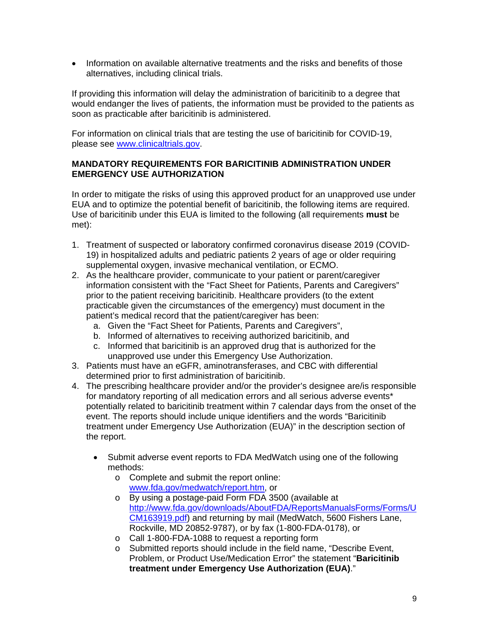• Information on available alternative treatments and the risks and benefits of those alternatives, including clinical trials.

If providing this information will delay the administration of baricitinib to a degree that would endanger the lives of patients, the information must be provided to the patients as soon as practicable after baricitinib is administered.

For information on clinical trials that are testing the use of baricitinib for COVID-19, please see<www.clinicaltrials.gov>.

# **MANDATORY REQUIREMENTS FOR BARICITINIB ADMINISTRATION UNDER EMERGENCY USE AUTHORIZATION**

In order to mitigate the risks of using this approved product for an unapproved use under EUA and to optimize the potential benefit of baricitinib, the following items are required. Use of baricitinib under this EUA is limited to the following (all requirements **must** be met):

- 1. Treatment of suspected or laboratory confirmed coronavirus disease 2019 (COVID-19) in hospitalized adults and pediatric patients 2 years of age or older requiring supplemental oxygen, invasive mechanical ventilation, or ECMO.
- 2. As the healthcare provider, communicate to your patient or parent/caregiver information consistent with the "Fact Sheet for Patients, Parents and Caregivers" prior to the patient receiving baricitinib. Healthcare providers (to the extent practicable given the circumstances of the emergency) must document in the patient's medical record that the patient/caregiver has been:
	- a. Given the "Fact Sheet for Patients, Parents and Caregivers",
	- b. Informed of alternatives to receiving authorized baricitinib, and
	- c. Informed that baricitinib is an approved drug that is authorized for the unapproved use under this Emergency Use Authorization.
- 3. Patients must have an eGFR, aminotransferases, and CBC with differential determined prior to first administration of baricitinib.
- 4. The prescribing healthcare provider and/or the provider's designee are/is responsible for mandatory reporting of all medication errors and all serious adverse events\* potentially related to baricitinib treatment within 7 calendar days from the onset of the event. The reports should include unique identifiers and the words "Baricitinib treatment under Emergency Use Authorization (EUA)" in the description section of the report.
	- Submit adverse event reports to FDA MedWatch using one of the following methods:
		- o Complete and submit the report online: <www.fda.gov/medwatch/report.htm>, or
		- o By using a postage-paid Form FDA 3500 (available at <http://www.fda.gov/downloads/AboutFDA/ReportsManualsForms/Forms/U> CM163919.pdf) and returning by mail (MedWatch, 5600 Fishers Lane, Rockville, MD 20852-9787), or by fax (1-800-FDA-0178), or
		- o Call 1-800-FDA-1088 to request a reporting form
		- o Submitted reports should include in the field name, "Describe Event, Problem, or Product Use/Medication Error" the statement "**Baricitinib treatment under Emergency Use Authorization (EUA)**."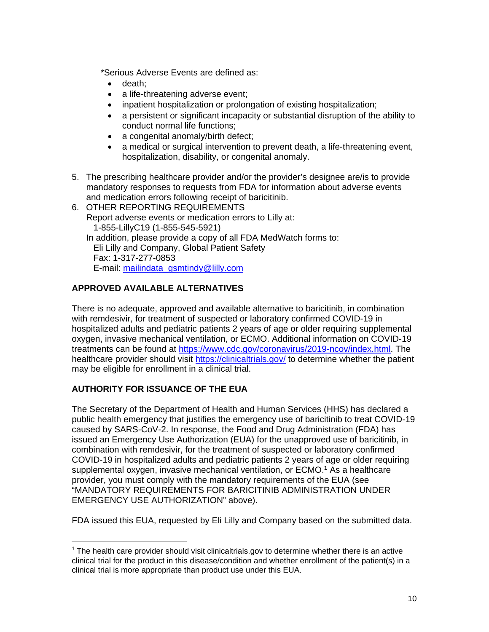\*Serious Adverse Events are defined as:

- death:
- a life-threatening adverse event;
- inpatient hospitalization or prolongation of existing hospitalization;
- a persistent or significant incapacity or substantial disruption of the ability to conduct normal life functions;
- a congenital anomaly/birth defect;
- a medical or surgical intervention to prevent death, a life-threatening event, hospitalization, disability, or congenital anomaly.
- 5. The prescribing healthcare provider and/or the provider's designee are/is to provide mandatory responses to requests from FDA for information about adverse events and medication errors following receipt of baricitinib.
- 6. OTHER REPORTING REQUIREMENTS Report adverse events or medication errors to Lilly at: 1-855-LillyC19 (1-855-545-5921) In addition, please provide a copy of all FDA MedWatch forms to: Eli Lilly and Company, Global Patient Safety Fax: 1-317-277-0853

E-mail: [mailindata\\_gsmtindy@lilly.com](mailto:mailindata_gsmtindy@lilly.com) 

# **APPROVED AVAILABLE ALTERNATIVES**

There is no adequate, approved and available alternative to baricitinib, in combination with remdesivir, for treatment of suspected or laboratory confirmed COVID-19 in hospitalized adults and pediatric patients 2 years of age or older requiring supplemental oxygen, invasive mechanical ventilation, or ECMO. Additional information on COVID-19 treatments can be found at <https://www.cdc.gov/coronavirus/2019-ncov/index.html>. The healthcare provider should visit [https://clinicaltrials.gov/](https://clinicaltrials.gov) to determine whether the patient may be eligible for enrollment in a clinical trial.

# **AUTHORITY FOR ISSUANCE OF THE EUA**

The Secretary of the Department of Health and Human Services (HHS) has declared a public health emergency that justifies the emergency use of baricitinib to treat COVID-19 caused by SARS-CoV-2. In response, the Food and Drug Administration (FDA) has issued an Emergency Use Authorization (EUA) for the unapproved use of baricitinib, in combination with remdesivir, for the treatment of suspected or laboratory confirmed COVID-19 in hospitalized adults and pediatric patients 2 years of age or older requiring supplemental oxygen, invasive mechanical ventilation, or ECMO.<sup>1</sup> As a healthcare provider, you must comply with the mandatory requirements of the EUA (see "MANDATORY REQUIREMENTS FOR BARICITINIB ADMINISTRATION UNDER EMERGENCY USE AUTHORIZATION" above).

FDA issued this EUA, requested by Eli Lilly and Company based on the submitted data.

 $1$  The health care provider should visit [clinicaltrials.gov](https://clinicaltrials.gov) to determine whether there is an active clinical trial for the product in this disease/condition and whether enrollment of the patient(s) in a clinical trial is more appropriate than product use under this EUA.